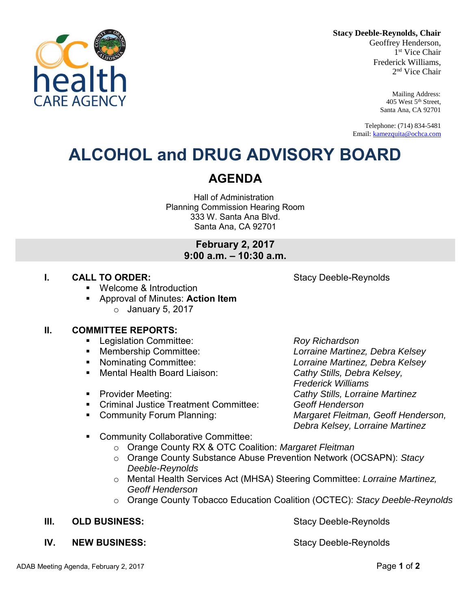**Stacy Deeble-Reynolds, Chair**

Geoffrey Henderson, 1 st Vice Chair Frederick Williams, 2 nd Vice Chair

> Mailing Address: 405 West 5th Street, Santa Ana, CA 92701

Telephone: (714) 834-5481 Email: [kamezquita@ochca.com](mailto:kamezquita@ochca.com)

## **ALCOHOL and DRUG ADVISORY BOARD**

## **AGENDA**

Hall of Administration Planning Commission Hearing Room 333 W. Santa Ana Blvd. Santa Ana, CA 92701

## **February 2, 2017 9:00 a.m. – 10:30 a.m.**

## **I. CALL TO ORDER:** Stacy Deeble-Reynolds

- Welcome & Introduction
- Approval of Minutes: **Action Item**   $\circ$  January 5, 2017

## **II. COMMITTEE REPORTS:**

- Legislation Committee: *Roy Richardson*
- 
- 
- Mental Health Board Liaison: *Cathy Stills, Debra Kelsey,*
- 
- Criminal Justice Treatment Committee: *Geoff Henderson*
- 

 Membership Committee: *Lorraine Martinez, Debra Kelsey* Nominating Committee: *Lorraine Martinez, Debra Kelsey Frederick Williams*  Provider Meeting: *Cathy Stills, Lorraine Martinez* Community Forum Planning: *Margaret Fleitman, Geoff Henderson, Debra Kelsey, Lorraine Martinez* 

- Community Collaborative Committee:
	- o Orange County RX & OTC Coalition: *Margaret Fleitman*
	- o Orange County Substance Abuse Prevention Network (OCSAPN): *Stacy Deeble-Reynolds*
	- o Mental Health Services Act (MHSA) Steering Committee: *Lorraine Martinez, Geoff Henderson*
	- o Orange County Tobacco Education Coalition (OCTEC): *Stacy Deeble-Reynolds*

## **III.** OLD BUSINESS: Stacy Deeble-Reynolds